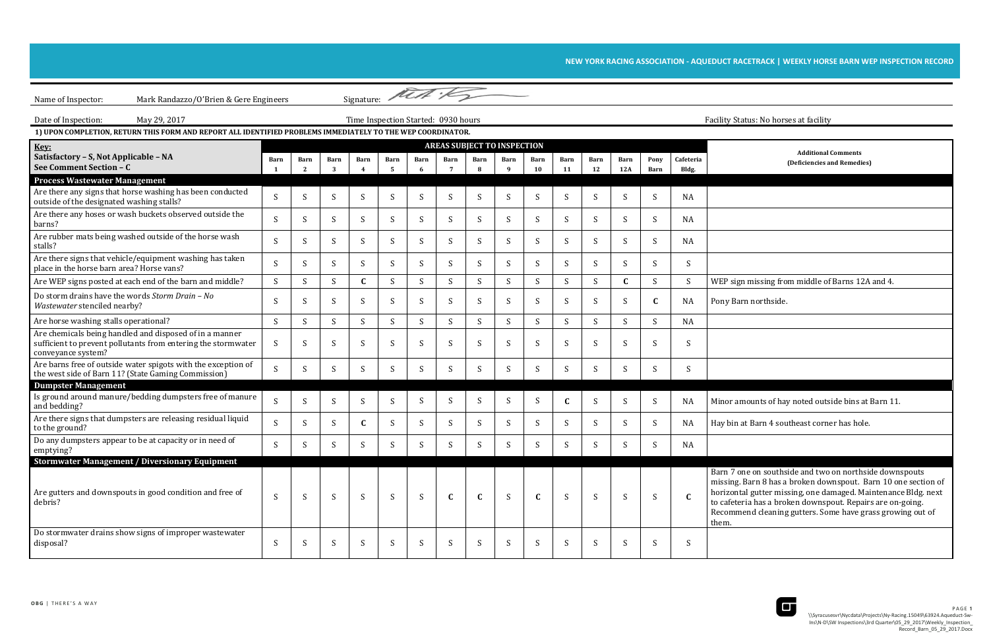## NEW YORK RACING ASSOCIATION - AQUEDUCT RACETRACK | WEEKLY HORSE BARN WEP INSPECTION RECORD

rn 7 one on southside and two on northside downspouts missing. Barn 8 has a broken downspout. Barn 10 one section of horizontal gutter missing, one damaged. Maintenance Bldg. next rafeteria has a broken downspout. Repairs are on-going. Recommend cleaning gutters. Some have grass growing out of



| Signature: Mest :<br>Mark Randazzo/O'Brien & Gere Engineers<br>Name of Inspector:                                                              |              |              |              |              |           |              |                                     |                                    |                      |              |            |              |                    |                           |                    |                                                                                                                                                                                                                                                                              |
|------------------------------------------------------------------------------------------------------------------------------------------------|--------------|--------------|--------------|--------------|-----------|--------------|-------------------------------------|------------------------------------|----------------------|--------------|------------|--------------|--------------------|---------------------------|--------------------|------------------------------------------------------------------------------------------------------------------------------------------------------------------------------------------------------------------------------------------------------------------------------|
| May 29, 2017<br>Date of Inspection:                                                                                                            |              |              |              |              |           |              | Time Inspection Started: 0930 hours |                                    |                      |              |            |              |                    |                           |                    | Facility Status: No horses at facility                                                                                                                                                                                                                                       |
| 1) UPON COMPLETION, RETURN THIS FORM AND REPORT ALL IDENTIFIED PROBLEMS IMMEDIATELY TO THE WEP COORDINATOR.                                    |              |              |              |              |           |              |                                     |                                    |                      |              |            |              |                    |                           |                    |                                                                                                                                                                                                                                                                              |
| Key:                                                                                                                                           |              |              |              |              |           |              |                                     | <b>AREAS SUBJECT TO INSPECTION</b> |                      |              |            |              |                    |                           |                    |                                                                                                                                                                                                                                                                              |
| Satisfactory - S, Not Applicable - NA<br>See Comment Section - C                                                                               | Barn         | Barn<br>2    | Barn<br>-3   | <b>Barn</b>  | Barn<br>5 | Barn         | Barn                                | Barn                               | Barn<br>$\mathbf{q}$ | Barn<br>10   | Barn<br>11 | Barn<br>12   | <b>Barn</b><br>12A | Pony<br>Barn              | Cafeteria<br>Bldg. | <b>Additional Comments</b><br>(Deficiencies and Remedies)                                                                                                                                                                                                                    |
| <b>Process Wastewater Management</b>                                                                                                           |              |              |              |              |           |              |                                     |                                    |                      |              |            |              |                    |                           |                    |                                                                                                                                                                                                                                                                              |
| Are there any signs that horse washing has been conducted<br>outside of the designated washing stalls?                                         | S            | S            | S            | S            | S         | S            | S                                   | S                                  | S                    | <sub>S</sub> | S          |              | -S                 | S                         | NA                 |                                                                                                                                                                                                                                                                              |
| Are there any hoses or wash buckets observed outside the<br>barns?                                                                             | S            | <sup>S</sup> | S.           | <sup>S</sup> | S         | S            | <sup>S</sup>                        | S                                  | S                    | -S           | S          | S            | <sub>S</sub>       | S                         | <b>NA</b>          |                                                                                                                                                                                                                                                                              |
| Are rubber mats being washed outside of the horse wash<br>stalls?                                                                              | S.           | S            | S            | S            | S         | <sup>S</sup> | S                                   | S                                  | S                    |              | S          | S.           | <sub>S</sub>       | S                         | NA                 |                                                                                                                                                                                                                                                                              |
| Are there signs that vehicle/equipment washing has taken<br>place in the horse barn area? Horse vans?                                          | S            | S            | <sup>S</sup> | S            | S         |              | S                                   | S                                  | S                    |              | -S         | <sup>S</sup> | -S                 | S.                        | S                  |                                                                                                                                                                                                                                                                              |
| Are WEP signs posted at each end of the barn and middle?                                                                                       | S            | S            | S            |              | S         | S            | S                                   | S                                  | S                    | S            | S          | S            |                    | S                         |                    | WEP sign missing from middle of Barns 12A and 4.                                                                                                                                                                                                                             |
| Do storm drains have the words Storm Drain - No<br>Wastewater stenciled nearby?                                                                | S            | S            | S            | S            | S         |              | S                                   | S                                  | S                    |              | S          |              | -S                 | $\mathbf{C}$              | NA                 | Pony Barn northside.                                                                                                                                                                                                                                                         |
| Are horse washing stalls operational?                                                                                                          | S            | S            | S.           | S            | S         | <sup>S</sup> | S                                   | S                                  | S                    |              | S          | S            | S                  | S                         | <b>NA</b>          |                                                                                                                                                                                                                                                                              |
| Are chemicals being handled and disposed of in a manner<br>sufficient to prevent pollutants from entering the stormwater<br>conveyance system? | S            | S            | S            | <sup>S</sup> | S         |              | S                                   | S                                  | <sup>S</sup>         |              | -S         |              | -S                 | S                         |                    |                                                                                                                                                                                                                                                                              |
| Are barns free of outside water spigots with the exception of<br>the west side of Barn 11? (State Gaming Commission)                           | S            | S            | S            | S            | S         | <sup>S</sup> | S                                   | S                                  | S                    |              | S          | <sup>S</sup> | <sub>S</sub>       | S                         | S                  |                                                                                                                                                                                                                                                                              |
| <b>Dumpster Management</b>                                                                                                                     |              |              |              |              |           |              |                                     |                                    |                      |              |            |              |                    |                           |                    |                                                                                                                                                                                                                                                                              |
| Is ground around manure/bedding dumpsters free of manure<br>and bedding?                                                                       | <sub>S</sub> | S            | S.           | <sup>S</sup> | S         | S            | S                                   | S                                  | S                    | S            | C          | <sup>S</sup> | -S                 | S.                        | NA                 | Minor amounts of hay noted outside bins at Barn 1                                                                                                                                                                                                                            |
| Are there signs that dumpsters are releasing residual liquid<br>to the ground?                                                                 | S            | S            | S.           | C            | S.        |              | S                                   | <sup>S</sup>                       | <sup>S</sup>         |              | S          | S.           | -S                 | S                         | NA                 | Hay bin at Barn 4 southeast corner has hole.                                                                                                                                                                                                                                 |
| Do any dumpsters appear to be at capacity or in need of<br>emptying?                                                                           | S            | <sup>S</sup> | S            | S            | S         | <sup>S</sup> | S                                   | S                                  | S                    |              | S          | <sup>S</sup> | S                  | S                         | NA                 |                                                                                                                                                                                                                                                                              |
| <b>Stormwater Management / Diversionary Equipment</b>                                                                                          |              |              |              |              |           |              |                                     |                                    |                      |              |            |              |                    |                           |                    |                                                                                                                                                                                                                                                                              |
| Are gutters and downspouts in good condition and free of<br>debris?                                                                            | S            | -S           | S            | S            | S         | S.           | $\mathbf{C}$                        | $\mathbf{C}$                       | S                    | $\mathbf C$  | S          | S            | S                  | $\boldsymbol{\mathsf{S}}$ | $\mathbf{C}$       | Barn 7 one on southside and two on northside dow<br>missing. Barn 8 has a broken downspout. Barn 10<br>horizontal gutter missing, one damaged. Maintenar<br>to cafeteria has a broken downspout. Repairs are of<br>Recommend cleaning gutters. Some have grass grov<br>them. |
| Do stormwater drains show signs of improper wastewater<br>disposal?                                                                            | S            |              | S            | S            | S         |              | S                                   | S                                  | S                    |              | S          |              | <sub>S</sub>       | S                         | S                  |                                                                                                                                                                                                                                                                              |